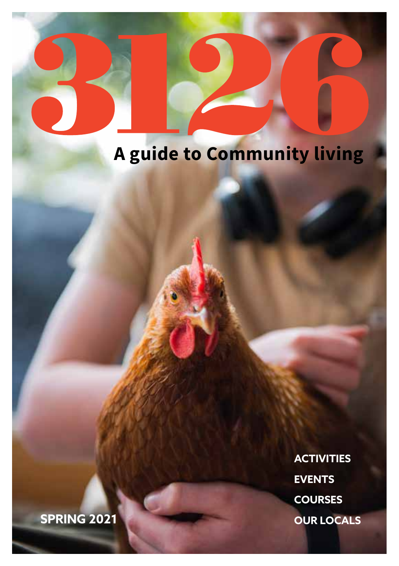### **A guide to Community living**

**ACTIVITIES EVENTS COURSES OUR LOCALS**

**SPRING 2021**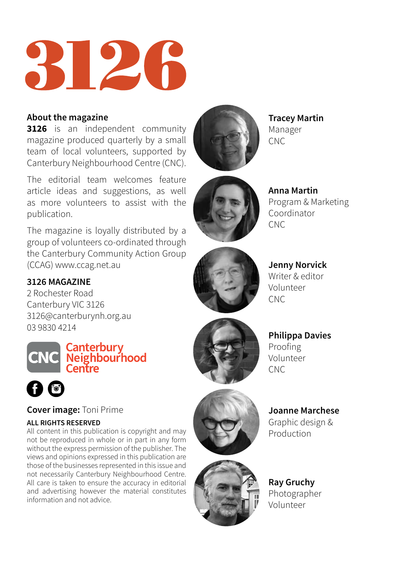

#### **About the magazine**

**3126** is an independent community magazine produced quarterly by a small team of local volunteers, supported by Canterbury Neighbourhood Centre (CNC).

The editorial team welcomes feature article ideas and suggestions, as well as more volunteers to assist with the publication.

The magazine is loyally distributed by a group of volunteers co-ordinated through the Canterbury Community Action Group (CCAG) [www.ccag.net.au](http://www.ccag.net.au/)

#### **3126 MAGAZINE**

2 Rochester Road Canterbury VIC 3126 3126@canterburynh.org.au 03 9830 4214





**Cover image:** Toni Prime

#### **ALL RIGHTS RESERVED**

All content in this publication is copyright and may not be reproduced in whole or in part in any form without the express permission of the publisher. The views and opinions expressed in this publication are those of the businesses represented in this issue and not necessarily Canterbury Neighbourhood Centre. All care is taken to ensure the accuracy in editorial and advertising however the material constitutes information and not advice.



**Tracey Martin** Manager CNC



**Anna Martin** Program & Marketing Coordinator CNC



**Jenny Norvick** Writer & editor Volunteer **CNC** 

**Philippa Davies** Proofing Volunteer CNC



**Joanne Marchese** Graphic design & Production

**Ray Gruchy** Photographer Volunteer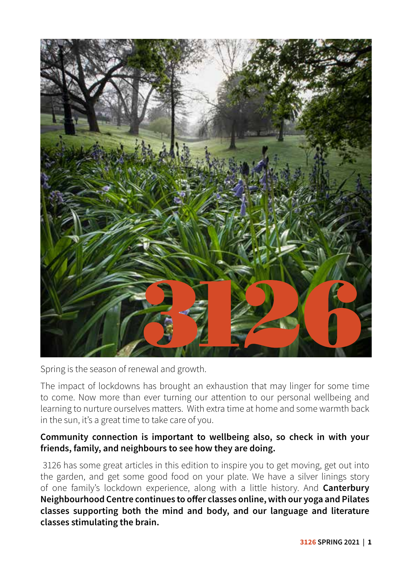

Spring is the season of renewal and growth.

The impact of lockdowns has brought an exhaustion that may linger for some time to come. Now more than ever turning our attention to our personal wellbeing and learning to nurture ourselves matters. With extra time at home and some warmth back in the sun, it's a great time to take care of you.

#### **Community connection is important to wellbeing also, so check in with your friends, family, and neighbours to see how they are doing.**

 3126 has some great articles in this edition to inspire you to get moving, get out into the garden, and get some good food on your plate. We have a silver linings story of one family's lockdown experience, along with a little history. And **Canterbury Neighbourhood Centre continues to offer classes online, with our yoga and Pilates classes supporting both the mind and body, and our language and literature classes stimulating the brain.**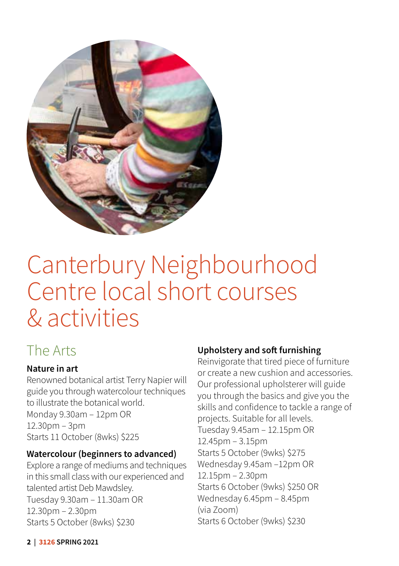

### Canterbury Neighbourhood Centre local short courses & activities

#### The Arts

#### **Nature in art**

Renowned botanical artist Terry Napier will guide you through watercolour techniques to illustrate the botanical world. Monday 9.30am – 12pm OR 12.30pm – 3pm Starts 11 October (8wks) \$225

#### **Watercolour (beginners to advanced)**

Explore a range of mediums and techniques in this small class with our experienced and talented artist Deb Mawdsley. Tuesday 9.30am – 11.30am OR 12.30pm – 2.30pm Starts 5 October (8wks) \$230

#### **Upholstery and soft furnishing**

Reinvigorate that tired piece of furniture or create a new cushion and accessories. Our professional upholsterer will guide you through the basics and give you the skills and confidence to tackle a range of projects. Suitable for all levels. Tuesday 9.45am – 12.15pm OR 12.45pm – 3.15pm Starts 5 October (9wks) \$275 Wednesday 9.45am –12pm OR 12.15pm – 2.30pm Starts 6 October (9wks) \$250 OR Wednesday 6.45pm – 8.45pm (via Zoom) Starts 6 October (9wks) \$230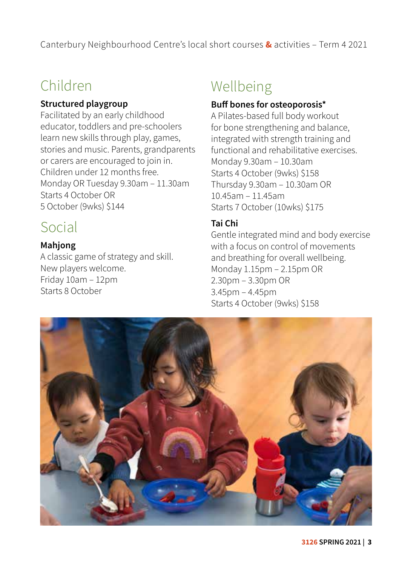Canterbury Neighbourhood Centre's local short courses **&** activities – Term 4 2021

#### Children

#### **Structured playgroup**

Facilitated by an early childhood educator, toddlers and pre-schoolers learn new skills through play, games, stories and music. Parents, grandparents or carers are encouraged to join in. Children under 12 months free. Monday OR Tuesday 9.30am – 11.30am Starts 4 October OR 5 October (9wks) \$144

#### Social

#### **Mahjong**

A classic game of strategy and skill. New players welcome. Friday 10am – 12pm Starts 8 October

#### Wellbeing

#### **Buff bones for osteoporosis\***

A Pilates-based full body workout for bone strengthening and balance, integrated with strength training and functional and rehabilitative exercises. Monday 9.30am – 10.30am Starts 4 October (9wks) \$158 Thursday 9.30am – 10.30am OR 10.45am – 11.45am Starts 7 October (10wks) \$175

#### **Tai Chi**

Gentle integrated mind and body exercise with a focus on control of movements and breathing for overall wellbeing. Monday 1.15pm – 2.15pm OR 2.30pm – 3.30pm OR 3.45pm – 4.45pm Starts 4 October (9wks) \$158

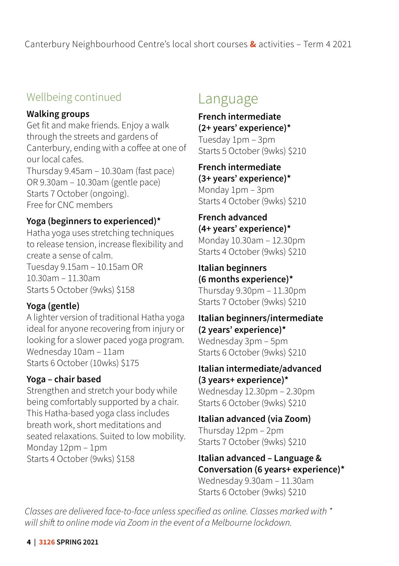Canterbury Neighbourhood Centre's local short courses **&** activities – Term 4 2021

#### Wellbeing continued

#### **Walking groups**

Get fit and make friends. Enjoy a walk through the streets and gardens of Canterbury, ending with a coffee at one of our local cafes. Thursday 9.45am – 10.30am (fast pace) OR 9.30am – 10.30am (gentle pace) Starts 7 October (ongoing). Free for CNC members

#### **Yoga (beginners to experienced)\***

Hatha yoga uses stretching techniques to release tension, increase flexibility and create a sense of calm. Tuesday 9.15am – 10.15am OR 10.30am – 11.30am Starts 5 October (9wks) \$158

#### **Yoga (gentle)**

A lighter version of traditional Hatha yoga ideal for anyone recovering from injury or looking for a slower paced yoga program. Wednesday 10am – 11am Starts 6 October (10wks) \$175

#### **Yoga – chair based**

Strengthen and stretch your body while being comfortably supported by a chair. This Hatha-based yoga class includes breath work, short meditations and seated relaxations. Suited to low mobility. Monday 12pm – 1pm Starts 4 October (9wks) \$158

#### Language

**French intermediate (2+ years' experience)\***  Tuesday 1pm – 3pm Starts 5 October (9wks) \$210

**French intermediate (3+ years' experience)\*** Monday 1pm – 3pm Starts 4 October (9wks) \$210

**French advanced (4+ years' experience)\*** Monday 10.30am – 12.30pm Starts 4 October (9wks) \$210

**Italian beginners (6 months experience)\***  Thursday 9.30pm – 11.30pm Starts 7 October (9wks) \$210

**Italian beginners/intermediate (2 years' experience)\***  Wednesday 3pm – 5pm Starts 6 October (9wks) \$210

**Italian intermediate/advanced (3 years+ experience)\***  Wednesday 12.30pm – 2.30pm Starts 6 October (9wks) \$210

**Italian advanced (via Zoom)** Thursday 12pm – 2pm Starts 7 October (9wks) \$210

**Italian advanced – Language & Conversation (6 years+ experience)\***  Wednesday 9.30am – 11.30am

Starts 6 October (9wks) \$210

*Classes are delivered face-to-face unless specified as online. Classes marked with \* will shift to online mode via Zoom in the event of a Melbourne lockdown.*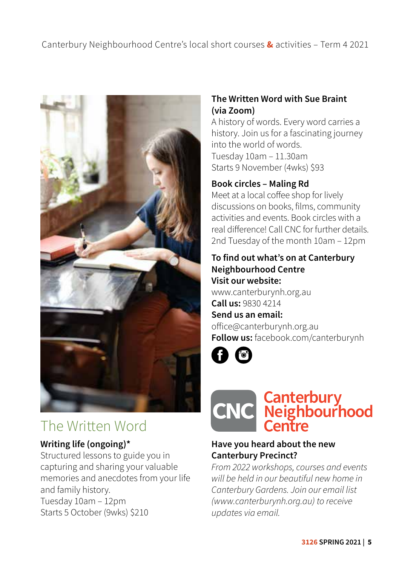

#### The Written Word

#### **Writing life (ongoing)\***

Structured lessons to guide you in capturing and sharing your valuable memories and anecdotes from your life and family history. Tuesday 10am – 12pm Starts 5 October (9wks) \$210

#### **The Written Word with Sue Braint (via Zoom)**

A history of words. Every word carries a history. Join us for a fascinating journey into the world of words. Tuesday 10am – 11.30am Starts 9 November (4wks) \$93

#### **Book circles – Maling Rd**

Meet at a local coffee shop for lively discussions on books, films, community activities and events. Book circles with a real difference! Call CNC for further details. 2nd Tuesday of the month 10am – 12pm

#### **To find out what's on at Canterbury Neighbourhood Centre Visit our website:**

www.canterburynh.org.au **Call us:** 9830 4214 **Send us an email:**  office@canterburynh.org.au **Follow us:** facebook.com/canterburynh

A O



#### **Have you heard about the new Canterbury Precinct?**

*From 2022 workshops, courses and events will be held in our beautiful new home in Canterbury Gardens. Join our email list [\(www.canterburynh.org.au\)](http://www.canterburynh.org.au) to receive updates via email.*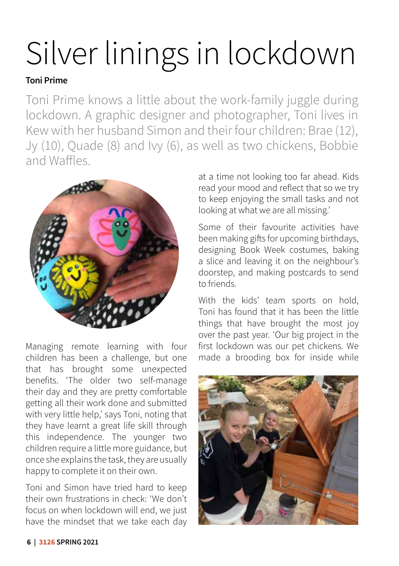# Silver linings in lockdown

#### **Toni Prime**

Toni Prime knows a little about the work-family juggle during lockdown. A graphic designer and photographer, Toni lives in Kew with her husband Simon and their four children: Brae (12), Jy (10), Quade (8) and Ivy (6), as well as two chickens, Bobbie and Waffles.



Managing remote learning with four children has been a challenge, but one that has brought some unexpected benefits. 'The older two self-manage their day and they are pretty comfortable getting all their work done and submitted with very little help,' says Toni, noting that they have learnt a great life skill through this independence. The younger two children require a little more guidance, but once she explains the task, they are usually happy to complete it on their own.

Toni and Simon have tried hard to keep their own frustrations in check: 'We don't focus on when lockdown will end, we just have the mindset that we take each day at a time not looking too far ahead. Kids read your mood and reflect that so we try to keep enjoying the small tasks and not looking at what we are all missing.'

Some of their favourite activities have been making gifts for upcoming birthdays, designing Book Week costumes, baking a slice and leaving it on the neighbour's doorstep, and making postcards to send to friends.

With the kids' team sports on hold, Toni has found that it has been the little things that have brought the most joy over the past year. 'Our big project in the first lockdown was our pet chickens. We made a brooding box for inside while

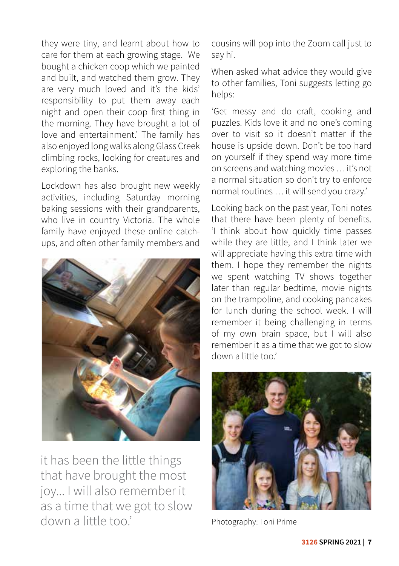they were tiny, and learnt about how to care for them at each growing stage. We bought a chicken coop which we painted and built, and watched them grow. They are very much loved and it's the kids' responsibility to put them away each night and open their coop first thing in the morning. They have brought a lot of love and entertainment.' The family has also enjoyed long walks along Glass Creek climbing rocks, looking for creatures and exploring the banks.

Lockdown has also brought new weekly activities, including Saturday morning baking sessions with their grandparents, who live in country Victoria. The whole family have enjoyed these online catchups, and often other family members and



it has been the little things that have brought the most joy... I will also remember it as a time that we got to slow down a little too.' Photography: Toni Prime

cousins will pop into the Zoom call just to say hi.

When asked what advice they would give to other families, Toni suggests letting go helps:

'Get messy and do craft, cooking and puzzles. Kids love it and no one's coming over to visit so it doesn't matter if the house is upside down. Don't be too hard on yourself if they spend way more time on screens and watching movies … it's not a normal situation so don't try to enforce normal routines … it will send you crazy.'

Looking back on the past year, Toni notes that there have been plenty of benefits. 'I think about how quickly time passes while they are little, and I think later we will appreciate having this extra time with them. I hope they remember the nights we spent watching TV shows together later than regular bedtime, movie nights on the trampoline, and cooking pancakes for lunch during the school week. I will remember it being challenging in terms of my own brain space, but I will also remember it as a time that we got to slow down a little too.'

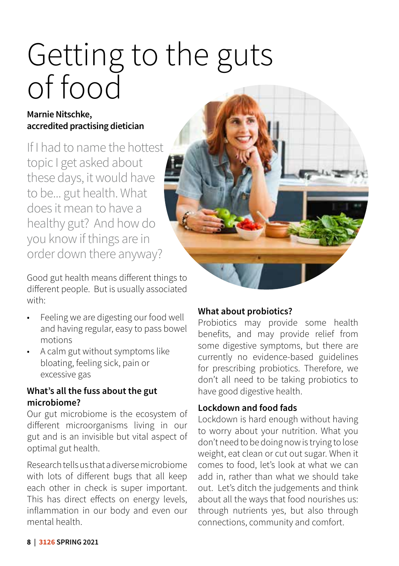## Getting to the guts of food

#### **Marnie Nitschke, accredited practising dietician**

If I had to name the hottest topic I get asked about these days, it would have to be... gut health. What does it mean to have a healthy gut? And how do you know if things are in order down there anyway?

Good gut health means different things to different people. But is usually associated with:

- Feeling we are digesting our food well and having regular, easy to pass bowel motions
- A calm gut without symptoms like bloating, feeling sick, pain or excessive gas

#### **What's all the fuss about the gut microbiome?**

Our gut microbiome is the ecosystem of different microorganisms living in our gut and is an invisible but vital aspect of optimal gut health.

Research tells us that a diverse microbiome with lots of different bugs that all keep each other in check is super important. This has direct effects on energy levels, inflammation in our body and even our mental health.

#### **What about probiotics?**

Probiotics may provide some health benefits, and may provide relief from some digestive symptoms, but there are currently no evidence-based guidelines for prescribing probiotics. Therefore, we don't all need to be taking probiotics to have good digestive health.

#### **Lockdown and food fads**

Lockdown is hard enough without having to worry about your nutrition. What you don't need to be doing now is trying to lose weight, eat clean or cut out sugar. When it comes to food, let's look at what we can add in, rather than what we should take out. Let's ditch the judgements and think about all the ways that food nourishes us: through nutrients yes, but also through connections, community and comfort.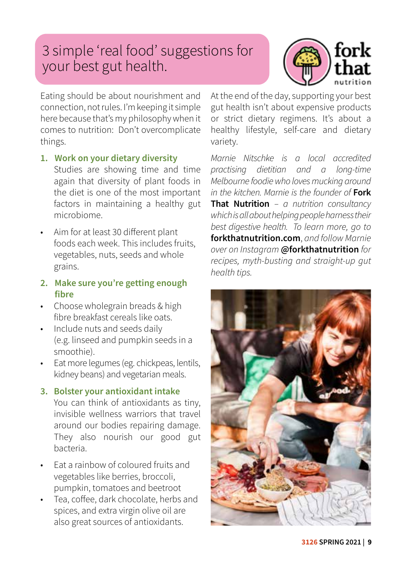#### 3 simple 'real food' suggestions for your best gut health.



Eating should be about nourishment and connection, not rules. I'm keeping it simple here because that's my philosophy when it comes to nutrition: Don't overcomplicate things.

**1. Work on your dietary diversity**

Studies are showing time and time again that diversity of plant foods in the diet is one of the most important factors in maintaining a healthy gut microbiome.

• Aim for at least 30 different plant foods each week. This includes fruits, vegetables, nuts, seeds and whole grains.

#### **2. Make sure you're getting enough fibre**

- Choose wholegrain breads & high fibre breakfast cereals like oats.
- Include nuts and seeds daily (e.g. linseed and pumpkin seeds in a smoothie).
- Eat more legumes (eg. chickpeas, lentils, kidney beans) and vegetarian meals.

#### **3. Bolster your antioxidant intake**

You can think of antioxidants as tiny, invisible wellness warriors that travel around our bodies repairing damage. They also nourish our good gut bacteria.

- Eat a rainbow of coloured fruits and vegetables like berries, broccoli, pumpkin, tomatoes and beetroot
- Tea, coffee, dark chocolate, herbs and spices, and extra virgin olive oil are also great sources of antioxidants.

At the end of the day, supporting your best gut health isn't about expensive products or strict dietary regimens. It's about a healthy lifestyle, self-care and dietary variety.

*Marnie Nitschke is a local accredited practising dietitian and a long-time Melbourne foodie who loves mucking around in the kitchen. Marnie is the founder of* **Fork That Nutrition** *– a nutrition consultancy which is all about helping people harness their best digestive health. To learn more, go to* **forkthatnutrition.com**, *and follow Marnie over on Instagram* **@forkthatnutrition** *for recipes, myth-busting and straight-up gut health tips.*

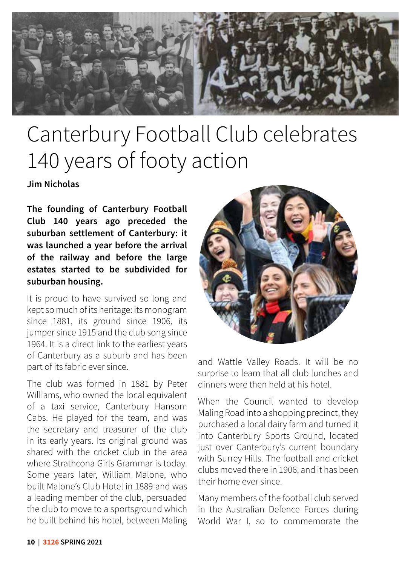

### Canterbury Football Club celebrates 140 years of footy action

**Jim Nicholas**

**The founding of Canterbury Football Club 140 years ago preceded the suburban settlement of Canterbury: it was launched a year before the arrival of the railway and before the large estates started to be subdivided for suburban housing.** 

It is proud to have survived so long and kept so much of its heritage: its monogram since 1881, its ground since 1906, its jumper since 1915 and the club song since 1964. It is a direct link to the earliest years of Canterbury as a suburb and has been part of its fabric ever since.

The club was formed in 1881 by Peter Williams, who owned the local equivalent of a taxi service, Canterbury Hansom Cabs. He played for the team, and was the secretary and treasurer of the club in its early years. Its original ground was shared with the cricket club in the area where Strathcona Girls Grammar is today. Some years later, William Malone, who built Malone's Club Hotel in 1889 and was a leading member of the club, persuaded the club to move to a sportsground which he built behind his hotel, between Maling



and Wattle Valley Roads. It will be no surprise to learn that all club lunches and dinners were then held at his hotel.

When the Council wanted to develop Maling Road into a shopping precinct, they purchased a local dairy farm and turned it into Canterbury Sports Ground, located just over Canterbury's current boundary with Surrey Hills. The football and cricket clubs moved there in 1906, and it has been their home ever since.

Many members of the football club served in the Australian Defence Forces during World War I, so to commemorate the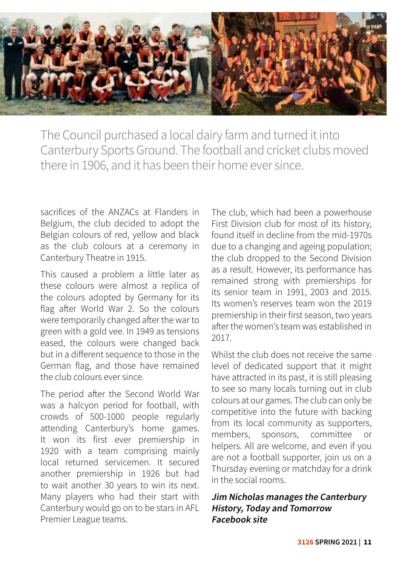

The Council purchased a local dairy farm and turned it into Canterbury Sports Ground. The football and cricket clubs moved there in 1906, and it has been their home ever since.

sacrifices of the ANZACs at Flanders in Belgium, the club decided to adopt the Belgian colours of red, yellow and black as the club colours at a ceremony in Canterbury Theatre in 1915.

This caused a problem a little later as these colours were almost a replica of the colours adopted by Germany for its flag after World War 2. So the colours were temporarily changed after the war to green with a gold vee. In 1949 as tensions eased, the colours were changed back but in a different sequence to those in the German flag, and those have remained the club colours ever since.

The period after the Second World War was a halcyon period for football, with crowds of 500-1000 people regularly attending Canterbury's home games. It won its first ever premiership in 1920 with a team comprising mainly local returned servicemen. It secured another premiership in 1926 but had to wait another 30 years to win its next. Many players who had their start with Canterbury would go on to be stars in AFL Premier League teams.

The club, which had been a powerhouse First Division club for most of its history, found itself in decline from the mid-1970s due to a changing and ageing population; the club dropped to the Second Division as a result. However, its performance has remained strong with premierships for its senior team in 1991, 2003 and 2015. Its women's reserves team won the 2019 premiership in their first season, two years after the women's team was established in 2017.

Whilst the club does not receive the same level of dedicated support that it might have attracted in its past, it is still pleasing to see so many locals turning out in club colours at our games. The club can only be competitive into the future with backing from its local community as supporters, members, sponsors, committee or helpers. All are welcome, and even if you are not a football supporter, join us on a Thursday evening or matchday for a drink in the social rooms.

#### **Jim Nicholas manages the Canterbury History, Today and Tomorrow Facebook site**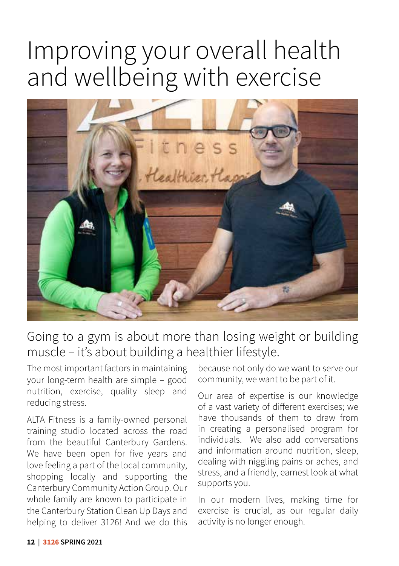### Improving your overall health and wellbeing with exercise



#### Going to a gym is about more than losing weight or building muscle – it's about building a healthier lifestyle.

The most important factors in maintaining your long-term health are simple – good nutrition, exercise, quality sleep and reducing stress.

ALTA Fitness is a family-owned personal training studio located across the road from the beautiful Canterbury Gardens. We have been open for five years and love feeling a part of the local community, shopping locally and supporting the Canterbury Community Action Group. Our whole family are known to participate in the Canterbury Station Clean Up Days and helping to deliver 3126! And we do this

because not only do we want to serve our community, we want to be part of it.

Our area of expertise is our knowledge of a vast variety of different exercises; we have thousands of them to draw from in creating a personalised program for individuals. We also add conversations and information around nutrition, sleep, dealing with niggling pains or aches, and stress, and a friendly, earnest look at what supports you.

In our modern lives, making time for exercise is crucial, as our regular daily activity is no longer enough.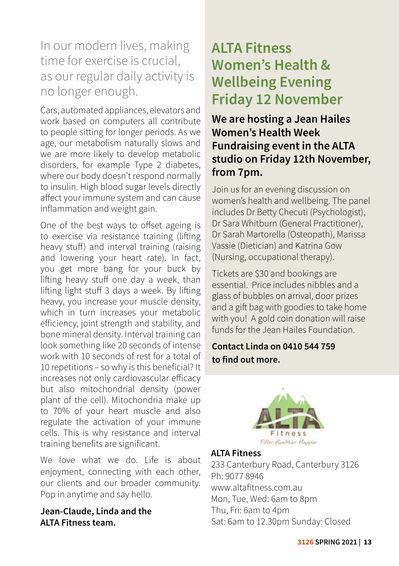#### In our modern lives, making time for exercise is crucial, as our regular daily activity is no longer enough.

Cars, automated appliances, elevators and work based on computers all contribute to people sitting for longer periods. As we age, our metabolism naturally slows and we are more likely to develop metabolic disorders, for example Type 2 diabetes, where our body doesn't respond normally to insulin. High blood sugar levels directly affect your immune system and can cause inflammation and weight gain.

One of the best ways to offset ageing is to exercise via resistance training (lifting heavy stuff) and interval training (raising and lowering your heart rate). In fact, you get more bang for your buck by lifting heavy stuff one day a week, than lifting light stuff 3 days a week. By lifting heavy, you increase your muscle density, which in turn increases your metabolic efficiency, joint strength and stability, and bone mineral density. Interval training can look something like 20 seconds of intense work with 10 seconds of rest for a total of 10 repetitions – so why is this beneficial? It increases not only cardiovascular efficacy but also mitochondrial density (power plant of the cell). Mitochondria make up to 70% of your heart muscle and also regulate the activation of your immune cells. This is why resistance and interval training benefits are significant.

We love what we do. Life is about enjoyment, connecting with each other, our clients and our broader community. Pop in anytime and say hello.

**Jean-Claude, Linda and the ALTA Fitness team.**

#### **ALTA Fitness Women's Health & Wellbeing Evening Friday 12 November**

**We are hosting a Jean Hailes Women's Health Week Fundraising event in the ALTA studio on Friday 12th November, from 7pm.** 

Join us for an evening discussion on women's health and wellbeing. The panel includes Dr Betty Checuti (Psychologist), Dr Sara Whitburn (General Practitioner), Dr Sarah Martorella (Osteopath), Marissa Vassie (Dietician) and Katrina Gow (Nursing, occupational therapy).

Tickets are \$30 and bookings are essential. Price includes nibbles and a glass of bubbles on arrival, door prizes and a gift bag with goodies to take home with you! A gold coin donation will raise funds for the Jean Hailes Foundation.

#### **Contact Linda on 0410 544 759 to find out more.**



#### **ALTA Fitness**

233 Canterbury Road, Canterbury 3126 Ph: 9077 8946 www.altafitness.com.au Mon, Tue, Wed: 6am to 8pm Thu, Fri: 6am to 4pm Sat: 6am to 12.30pm Sunday: Closed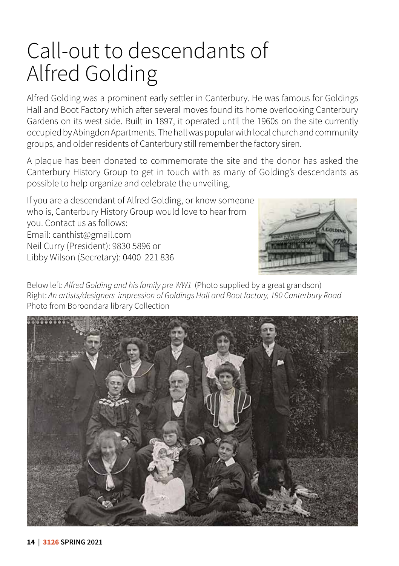### Call-out to descendants of Alfred Golding

Alfred Golding was a prominent early settler in Canterbury. He was famous for Goldings Hall and Boot Factory which after several moves found its home overlooking Canterbury Gardens on its west side. Built in 1897, it operated until the 1960s on the site currently occupied by Abingdon Apartments. The hall was popular with local church and community groups, and older residents of Canterbury still remember the factory siren.

A plaque has been donated to commemorate the site and the donor has asked the Canterbury History Group to get in touch with as many of Golding's descendants as possible to help organize and celebrate the unveiling,

If you are a descendant of Alfred Golding, or know someone who is, Canterbury History Group would love to hear from you. Contact us as follows: Email: canthist@gmail.com Neil Curry (President): 9830 5896 or Libby Wilson (Secretary): 0400 221 836



Below left: *Alfred Golding and his family pre WW1* (Photo supplied by a great grandson) Right: *An artists/designers impression of Goldings Hall and Boot factory, 190 Canterbury Road*  Photo from Boroondara library Collection

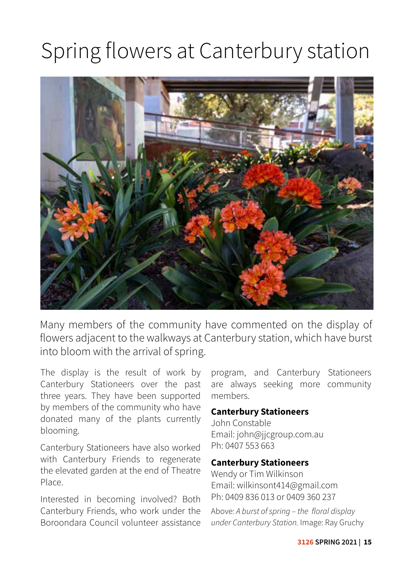### Spring flowers at Canterbury station



Many members of the community have commented on the display of flowers adjacent to the walkways at Canterbury station, which have burst into bloom with the arrival of spring.

The display is the result of work by Canterbury Stationeers over the past three years. They have been supported by members of the community who have donated many of the plants currently blooming.

Canterbury Stationeers have also worked with Canterbury Friends to regenerate the elevated garden at the end of Theatre Place.

Interested in becoming involved? Both Canterbury Friends, who work under the Boroondara Council volunteer assistance

program, and Canterbury Stationeers are always seeking more community members.

#### **Canterbury Stationeers**

John Constable Email: john@jjcgroup.com.au Ph: 0407 553 663

#### **Canterbury Stationeers**

Wendy or Tim Wilkinson Email: wilkinsont414@gmail.com Ph: 0409 836 013 or 0409 360 237

Above: *A burst of spring – the floral display under Canterbury Station.* Image: Ray Gruchy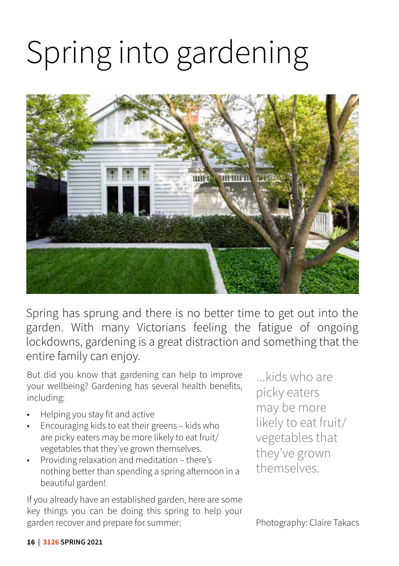# Spring into gardening



Spring has sprung and there is no better time to get out into the garden. With many Victorians feeling the fatigue of ongoing lockdowns, gardening is a great distraction and something that the entire family can enjoy.

But did you know that gardening can help to improve your wellbeing? Gardening has several health benefits, including:

- Helping you stay fit and active
- Encouraging kids to eat their greens kids who are picky eaters may be more likely to eat fruit/ vegetables that they've grown themselves.
- Providing relaxation and meditation there's nothing better than spending a spring afternoon in a beautiful garden!

If you already have an established garden, here are some key things you can be doing this spring to help your garden recover and prepare for summer:

...kids who are picky eaters may be more likely to eat fruit/ vegetables that they've grown themselves.

Photography: Claire Takacs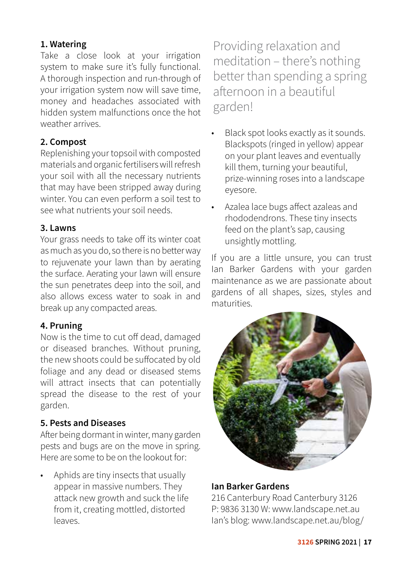#### **1. Watering**

Take a close look at your irrigation system to make sure it's fully functional. A thorough inspection and run-through of your irrigation system now will save time, money and headaches associated with hidden system malfunctions once the hot weather arrives.

#### **2. Compost**

Replenishing your topsoil with composted materials and organic fertilisers will refresh your soil with all the necessary nutrients that may have been stripped away during winter. You can even perform a soil test to see what nutrients your soil needs.

#### **3. Lawns**

Your grass needs to take off its winter coat as much as you do, so there is no better way to rejuvenate your lawn than by aerating the surface. Aerating your lawn will ensure the sun penetrates deep into the soil, and also allows excess water to soak in and break up any compacted areas.

#### **4. Pruning**

Now is the time to cut off dead, damaged or diseased branches. Without pruning, the new shoots could be suffocated by old foliage and any dead or diseased stems will attract insects that can potentially spread the disease to the rest of your garden.

#### **5. Pests and Diseases**

After being dormant in winter, many garden pests and bugs are on the move in spring. Here are some to be on the lookout for:

• Aphids are tiny insects that usually appear in massive numbers. They attack new growth and suck the life from it, creating mottled, distorted leaves.

Providing relaxation and meditation – there's nothing better than spending a spring afternoon in a beautiful garden!

- Black spot looks exactly as it sounds. Blackspots (ringed in yellow) appear on your plant leaves and eventually kill them, turning your beautiful, prize-winning roses into a landscape eyesore.
- Azalea lace bugs affect azaleas and rhododendrons. These tiny insects feed on the plant's sap, causing unsightly mottling.

If you are a little unsure, you can trust Ian Barker Gardens with your garden maintenance as we are passionate about gardens of all shapes, sizes, styles and maturities.



#### **Ian Barker Gardens**

216 Canterbury Road Canterbury 3126 P: 9836 3130 W: www.landscape.net.au Ian's blog: www.landscape.net.au/blog/